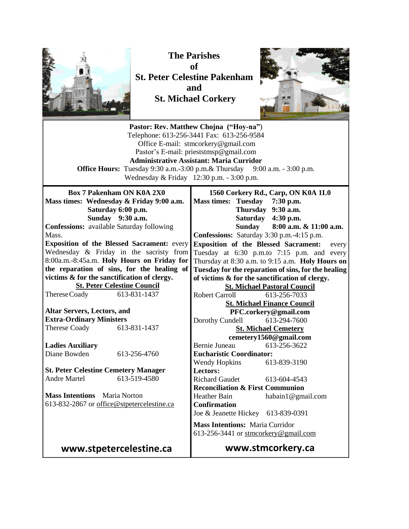

**The Parishes of St. Peter Celestine Pakenham and St. Michael Corkery**



| Pastor: Rev. Matthew Chojna ("Hoy-na")<br>Telephone: 613-256-3441 Fax: 613-256-9584<br>Office E-mail: stmcorkery@gmail.com<br>Pastor's E-mail: prieststmsp@gmail.com<br><b>Administrative Assistant: Maria Curridor</b><br><b>Office Hours:</b> Tuesday 9:30 a.m.-3:00 p.m.& Thursday 9:00 a.m. - 3:00 p.m.<br>Wednesday & Friday 12:30 p.m. - 3:00 p.m. |                                             |                                                                                                                                                                                                                                                                                                        |                                                                           |  |
|----------------------------------------------------------------------------------------------------------------------------------------------------------------------------------------------------------------------------------------------------------------------------------------------------------------------------------------------------------|---------------------------------------------|--------------------------------------------------------------------------------------------------------------------------------------------------------------------------------------------------------------------------------------------------------------------------------------------------------|---------------------------------------------------------------------------|--|
| <b>Box 7 Pakenham ON K0A 2X0</b><br>Mass times: Wednesday & Friday 9:00 a.m.<br>Saturday 6:00 p.m.<br>Sunday 9:30 a.m.<br><b>Confessions:</b> available Saturday following<br>Mass.                                                                                                                                                                      |                                             | <b>Mass times: Tuesday</b><br>Thursday 9:30 a.m.<br>Saturday 4:30 p.m.<br>Sunday<br>Confessions: Saturday 3:30 p.m.-4:15 p.m.                                                                                                                                                                          | 1560 Corkery Rd., Carp, ON K0A 1L0<br>7:30 p.m.<br>8:00 a.m. & 11:00 a.m. |  |
| <b>Exposition of the Blessed Sacrament: every</b><br>Wednesday & Friday in the sacristy from<br>8:00a.m.-8:45a.m. Holy Hours on Friday for<br>the reparation of sins, for the healing of<br>victims & for the sanctification of clergy.<br><b>St. Peter Celestine Council</b>                                                                            |                                             | <b>Exposition of the Blessed Sacrament:</b><br>every<br>Tuesday at 6:30 p.m.to 7:15 p.m. and every<br>Thursday at 8:30 a.m. to 9:15 a.m. Holy Hours on<br>Tuesday for the reparation of sins, for the healing<br>of victims & for the sanctification of clergy.<br><b>St. Michael Pastoral Council</b> |                                                                           |  |
| Therese Coady                                                                                                                                                                                                                                                                                                                                            | 613-831-1437                                | <b>Robert Carroll</b>                                                                                                                                                                                                                                                                                  | 613-256-7033<br><b>St. Michael Finance Council</b>                        |  |
| <b>Altar Servers, Lectors, and</b>                                                                                                                                                                                                                                                                                                                       |                                             |                                                                                                                                                                                                                                                                                                        | PFC.corkery@gmail.com                                                     |  |
| <b>Extra-Ordinary Ministers</b>                                                                                                                                                                                                                                                                                                                          |                                             | Dorothy Cundell                                                                                                                                                                                                                                                                                        | 613-294-7600                                                              |  |
| <b>Therese Coady</b>                                                                                                                                                                                                                                                                                                                                     | 613-831-1437                                |                                                                                                                                                                                                                                                                                                        | <b>St. Michael Cemetery</b>                                               |  |
|                                                                                                                                                                                                                                                                                                                                                          |                                             |                                                                                                                                                                                                                                                                                                        | cemetery1560@gmail.com                                                    |  |
| <b>Ladies Auxiliary</b>                                                                                                                                                                                                                                                                                                                                  |                                             | Bernie Juneau                                                                                                                                                                                                                                                                                          | 613-256-3622                                                              |  |
| Diane Bowden                                                                                                                                                                                                                                                                                                                                             | 613-256-4760                                | <b>Eucharistic Coordinator:</b>                                                                                                                                                                                                                                                                        |                                                                           |  |
|                                                                                                                                                                                                                                                                                                                                                          |                                             | <b>Wendy Hopkins</b>                                                                                                                                                                                                                                                                                   | 613-839-3190                                                              |  |
|                                                                                                                                                                                                                                                                                                                                                          | <b>St. Peter Celestine Cemetery Manager</b> | Lectors:                                                                                                                                                                                                                                                                                               |                                                                           |  |
| <b>Andre Martel</b>                                                                                                                                                                                                                                                                                                                                      | 613-519-4580                                | <b>Richard Gaudet</b>                                                                                                                                                                                                                                                                                  | 613-604-4543                                                              |  |
|                                                                                                                                                                                                                                                                                                                                                          |                                             | <b>Reconciliation &amp; First Communion</b>                                                                                                                                                                                                                                                            |                                                                           |  |
| <b>Mass Intentions</b> Maria Norton                                                                                                                                                                                                                                                                                                                      |                                             | <b>Heather Bain</b>                                                                                                                                                                                                                                                                                    | habain1@gmail.com                                                         |  |
|                                                                                                                                                                                                                                                                                                                                                          | 613-832-2867 or office@stpetercelestine.ca  | <b>Confirmation</b><br>Joe & Jeanette Hickey 613-839-0391                                                                                                                                                                                                                                              |                                                                           |  |
|                                                                                                                                                                                                                                                                                                                                                          |                                             | <b>Mass Intentions: Maria Curridor</b><br>613-256-3441 or stmcorkery@gmail.com                                                                                                                                                                                                                         |                                                                           |  |
| www.stpetercelestine.ca                                                                                                                                                                                                                                                                                                                                  |                                             |                                                                                                                                                                                                                                                                                                        | www.stmcorkery.ca                                                         |  |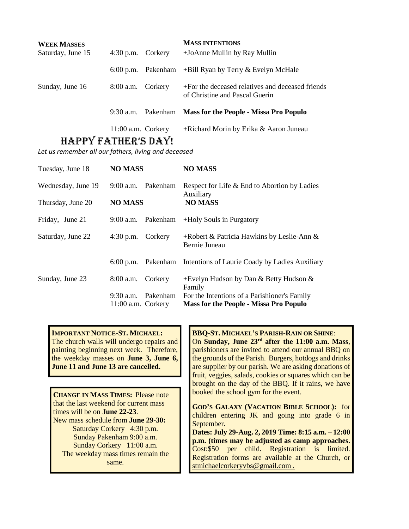| <b>WEEK MASSES</b> |                      |          | <b>MASS INTENTIONS</b>                                                             |
|--------------------|----------------------|----------|------------------------------------------------------------------------------------|
| Saturday, June 15  | $4:30$ p.m.          | Corkery  | +JoAnne Mullin by Ray Mullin                                                       |
|                    | $6:00$ p.m.          |          | Pakenham $+$ Bill Ryan by Terry $\&$ Evelyn McHale                                 |
| Sunday, June 16    | $8:00$ a.m.          | Corkery  | +For the deceased relatives and deceased friends<br>of Christine and Pascal Guerin |
|                    | $9:30$ a.m.          | Pakenham | <b>Mass for the People - Missa Pro Populo</b>                                      |
|                    | $11:00$ a.m. Corkery |          | +Richard Morin by Erika & Aaron Juneau                                             |

## HAPPY FATHER'S DAY!

*Let us remember all our fathers, living and deceased*

| Tuesday, June 18   | <b>NO MASS</b>       |                    | <b>NO MASS</b>                                                    |
|--------------------|----------------------|--------------------|-------------------------------------------------------------------|
| Wednesday, June 19 |                      | 9:00 a.m. Pakenham | Respect for Life & End to Abortion by Ladies<br>Auxiliary         |
| Thursday, June 20  | <b>NO MASS</b>       |                    | <b>NO MASS</b>                                                    |
| Friday, June 21    | $9:00$ a.m.          | Pakenham           | +Holy Souls in Purgatory                                          |
| Saturday, June 22  | $4:30$ p.m. Corkery  |                    | +Robert & Patricia Hawkins by Leslie-Ann $\&$<br>Bernie Juneau    |
|                    |                      |                    | 6:00 p.m. Pakenham Intentions of Laurie Coady by Ladies Auxiliary |
| Sunday, June 23    | 8:00 a.m. Corkery    |                    | +Evelyn Hudson by Dan & Betty Hudson $\&$<br>Family               |
|                    | $9:30$ a.m.          | Pakenham           | For the Intentions of a Parishioner's Family                      |
|                    | $11:00$ a.m. Corkery |                    | <b>Mass for the People - Missa Pro Populo</b>                     |

**IMPORTANT NOTICE-ST. MICHAEL:** The church walls will undergo repairs and painting beginning next week. Therefore, the weekday masses on **June 3, June 6, June 11 and June 13 are cancelled.**

**CHANGE IN MASS TIMES:** Please note that the last weekend for current mass times will be on **June 22-23**. New mass schedule from **June 29-30:** Saturday Corkery 4:30 p.m. Sunday Pakenham 9:00 a.m. Sunday Corkery 11:00 a.m. The weekday mass times remain the same.

**BBQ-ST. MICHAEL'S PARISH-RAIN OR SHINE**: On **Sunday, June 23rd after the 11:00 a.m. Mass**, parishioners are invited to attend our annual BBQ on the grounds of the Parish. Burgers, hotdogs and drinks are supplier by our parish. We are asking donations of fruit, veggies, salads, cookies or squares which can be brought on the day of the BBQ. If it rains, we have booked the school gym for the event.

**GOD'S GALAXY (VACATION BIBLE SCHOOL):** for children entering JK and going into grade 6 in September.

**Dates: July 29-Aug. 2, 2019 Time: 8:15 a.m. – 12:00 p.m. (times may be adjusted as camp approaches.** Cost:\$50 per child. Registration is limited. Registration forms are available at the Church, or stmichaelcorkeryvbs@gmail.com .